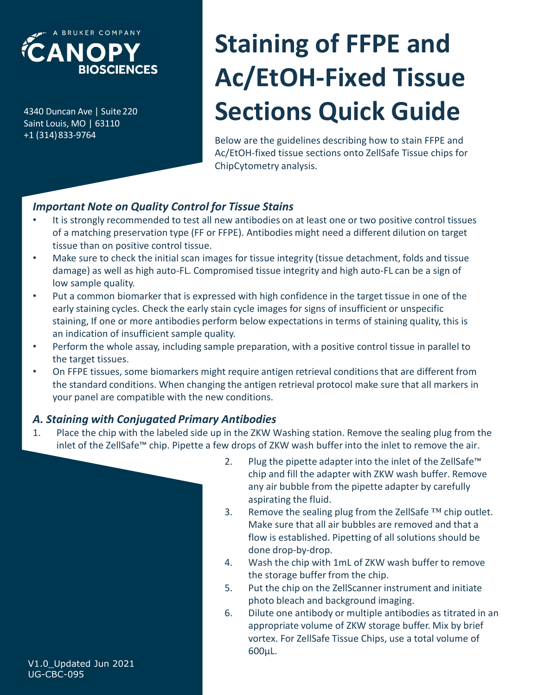

+1 (314)833-9764

# **EXAMOPY**<br>
BIOSCIENCES<br>
AC/ETOH-Fixed Ti<br>
BAC/ETOH-Fixed Ti<br>
BELAID DURICAL SACTIONS QUICK G<br>
AC/ETOH-FIXED BELAID BELAID DESCRIPTION OF THE PLAYS AC/ETONS QUICK G<br>
AC/ETOH-fixed tissue sections onto ZellSafe Ti<br>
ChipCyto Saint Louis, MO | SURER COMPANY<br>
BIOSCIENCES<br>
AC/ETOH-Fixed<br>
Saint Louis, MO | 63110<br>
HAC/ETOH-FIXED<br>
AC/ETOH-FIXED<br>
Below are the guidelines describing her<br>
Ac/ETOH-fixed tissue sections onto Ze<br>
ChipCytometry analysis. Staining of FFPE and Ac/EtOH-Fixed Tissue Sections Quick Guide

Below are the guidelines describing how to stain FFPE and Ac/EtOH-fixed tissue sections onto ZellSafe Tissue chips for ChipCytometry analysis.

## Important Note on Quality Control for Tissue Stains

- It is strongly recommended to test all new antibodies on at least one or two positive control tissues of a matching preservation type (FF or FFPE). Antibodies might need a different dilution on target tissue than on positive control tissue.
- Make sure to check the initial scan images for tissue integrity (tissue detachment, folds and tissue damage) as well as high auto-FL. Compromised tissue integrity and high auto-FL can be a sign of low sample quality.
- Put a common biomarker that is expressed with high confidence in the target tissue in one of the early staining cycles. Check the early stain cycle images for signs of insufficient or unspecific staining, If one or more antibodies perform below expectations in terms of staining quality, this is an indication of insufficient sample quality. 1. It is strongly recommended to test all new antibodies on at least one or two positive control itssues<br>of a matching preservation type (FF or FFPE). Antibodies might need a different dilution on target<br>tissue thas on mos
- Perform the whole assay, including sample preparation, with a positive control tissue in parallel to the target tissues.
- On FFPE tissues, some biomarkers might require antigen retrieval conditions that are different from the standard conditions. When changing the antigen retrieval protocol make sure that all markers in your panel are compatible with the new conditions.

## A. Staining with Conjugated Primary Antibodies

inlet of the ZellSafe™ chip. Pipette a few drops of ZKW wash buffer into the inlet to remove the air.



- es for tissue integrity (tissue detachment, folds and tissue<br>pomised tissue integrity and high auto-FL can be a sign of<br>ed with high confidence in the target tissue in one of the<br>in cycle images for signs of insufficient chip and fill the adapter with ZKW wash buffer. Remove any air bubble from the pipette adapter by carefully aspirating the fluid. ed with high confidence in the target tissue in one of the<br>
no cycle images for signs of insufficient or unspecific<br>
rm below expectations in terms of staining quality, this is<br>
ty.<br>
le preparation, with a positive contro ble preparation, with a positive control tissue in parallel to<br>
require antigen retrieval conditions that are different from<br>
the antigen retrieval protocol make sure that all markers in<br>
conditions.<br> **Antibodies**<br>
in the require antigen retrieval conditions that are different from<br>the antigen retrieval protocol make sure that all markers in<br>conditions.<br>In the ZKW Washing station. Remove the sealing plug from the<br>v drops of ZKW wash buffer
- Make sure that all air bubbles are removed and that a flow is established. Pipetting of all solutions should be done drop-by-drop.
- the storage buffer from the chip.
- photo bleach and background imaging.
- conditions.<br> **Antibodies**<br>
in the ZKW Washing station. Remove the sealing plug from the<br>
v drops of ZKW wash buffer into the inlet to remove the air.<br>
2. Plug the pipette adapter into the inlet of the ZellSafe™<br>
chip and appropriate volume of ZKW storage buffer. Mix by brief vortex. For ZellSafe Tissue Chips, use a total volume of 600µL.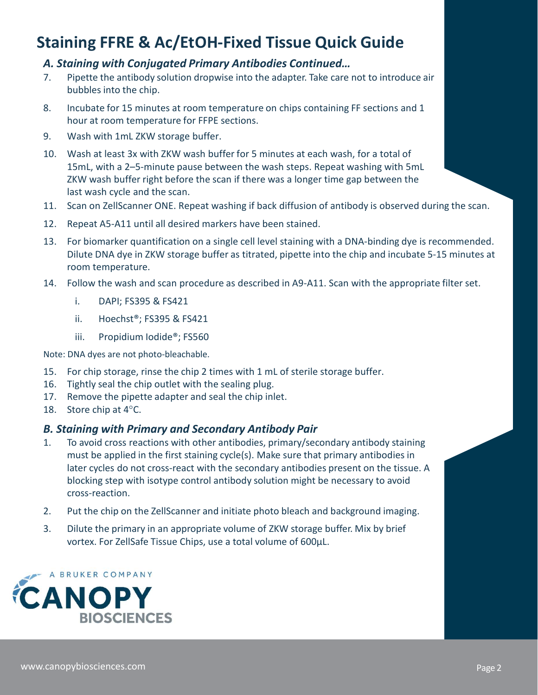# Staining FFRE & Ac/EtOH-Fixed Tissue Quick Guide

#### A. Staining with Conjugated Primary Antibodies Continued…

- **EXECUSE SECTS ACTER SACTER SECTS ACTES AS ACTER AS ACTER AND ASSESS USE ON THE ASSES AS ACTER AND ANTIBODIAL**<br>
7. Pipette the antibody solution dropwise into the adapter. Take care not to introduce air<br>
bubbles into the c bubbles into the chip.
- hour at room temperature for FFPE sections.
- 
- **Example 15 Minutes Accepts Accepts Continued Accepts Accepts Accepts Accepts Accepts Accepts Accepts Accepts**<br> **Example 15 Minutes at room temperature on chips continued...**<br> **Pipette the antibody solution dropwise into t Staining FFRE & Ac/EtOH-Fixed Tissue Quick**<br> **A. Staining with Conjugated Primary Antibodies Continued...**<br>
7. Pipette the antibody solution dropwise into the adapter. Take care r<br>
bubbles into the chip.<br>
8. Incubate for 10. Wash at least 3x with ZKW wash buffer for 5 minutes at each wash, for a total of 15mL, with a 2–5-minute pause between the wash steps. Repeat washing with 5mL ZKW wash buffer right before the scan if there was a longer time gap between the last wash cycle and the scan. 14. Total may with Congugated Primary Antibodies Constructed...<br>
14. Straining With Conguist and scan procedure as the scan procedure as the scan procedure as the hip.<br>
16. Include for 15 minutes at room temperature on chi i. Dollary and the chip.<br>
In the chip.<br>
In the chip.<br>
In the chip.<br>
In the chip.<br>
In the chip.<br>
In the chip.<br>
In the chip.<br>
In the chip sections.<br>
It and least 3x with ZKW storage between the wash steps. Repeat washing<br>
IS cubate for 15 minutes at room temperature on chips containing FF section<br>cur at room temperature for FFPE sections.<br>
"Ash with 1mL ZKW storage buffer.<br>
"Ash at least 3x with ZKW wash buffer for 5 minutes at each wash, for designation temperature for FFPE sections.<br>
Yash with 1mL ZKW storage buffer.<br>
Yash at least 3x with ZKW wash buffer for 5 minutes at each wash, for a t<br>
SimL, with a 2–5-minute pause between the wash steps. Repeat washing 10. Wash at least 3x with ZKW wash buffer for 5 minutes at each wash, for a total of<br>15ml, with a 2-5-minute pause between the wash steps. Repeat washing with 5ml<br>2KW wash buffer right before the scan if there was a longer **11. Scan on ZellScanner ONE. Repeat washing if back diffusion of an Dispertent on American of the matrices in the matrices in the matrices in the diagrets. Take care not to introduce air bubbles into the chip.<br>
17. Piette Example 12. Computer Assume Convention Constraining Assume Assume Assume Assume Assume Assume Assume Assume Assume Assume Assume Assume Assume Assume Assume Assume Assume Assume Assume Assume Assume Assume Assume The Se 13. For the stain in the single cell level that the single cell level staining with Conjugated Primary Antibodies Continued...**<br>
17. Pipette the antibody solution dropwise into the adapter. Take care not to introduce air<br>
- 
- 
- 15mL, with a 2-5-minute pause between the wash steps. Repeat w<br>
ZKW wash buffer right before the scan if there was a longer time ga<br>
last wash cycle and the scan.<br>
11. Scan on ZellScanner ONE. Repeat washing if back diffu ZKW wash buffer right before the scan if there was a longer time ga<br>
last wash cycle and the scan.<br>
11. Scan on ZellScanner ONE. Repeat washing if back diffusion of antibo<br>
12. Repeat A5-A11 until all desired markers have Dilute DNA dye in ZKW storage buffer as titrated, pipette into the chip and incubate 5-15 minutes at room temperature.
- -
	-
	-

Note: DNA dyes are not photo-bleachable.

- 
- 
- 
- 

#### B. Staining with Primary and Secondary Antibody Pair

- ondary antibodies present on the tissue. A<br>y solution might be necessary to avoid<br>e photo bleach and background imaging.<br>ne of ZKW storage buffer. Mix by brief<br>al volume of 600μL.<br>Page 2 must be applied in the first staining cycle(s). Make sure that primary antibodies in<br>later cycles do not cross-react with the secondary antibodies present on the tissue. A<br>blocking step with isotype control antibody soluti last wash cycle and the scan.<br>
11. Scan on ZellScanner ONE. Repeat washing if back diffusion of antiboration<br>
12. Repeat A5-A11 until all desired markers have been stained.<br>
13. For biomarker quantification on a single cel 12. Repeat AS-A11 until all desired markers have been stained.<br>
13. Fo biomarker quantification on a single cell level staining with a DNA-binding dye is recommended<br>
Dilute DNA dye in ZKW storage buffer as titrated, pipet must be applied in the first staining cycle(s). Make sure that primary antibodies in later cycles do not cross-react with the secondary antibodies present on the tissue. A blocking step with isotype control antibody solution might be necessary to avoid cross-reaction. i. DAPI; FS395 & FS421<br>
iii. Propidium lodide\*; FS50<br>
Note: DNA dyes are not photo-bleachable.<br>
15. For chip storage, rinse the chip 2 times with 1 ml. of sterile storage buffer.<br>
16. Tightly seal the chip outet with the s ii. Hoechst<sup>®</sup>; F5395 & FS421<br>
iii. Propidium lodide<sup>®</sup>; F5560<br>
Note: DNA dyes are not photo-bleachable.<br>
15. For chip storage, rinse the chip 2 times with 1 ml. of sterile storage buffer.<br>
16. Tightly seal the chip outer
	-
	- vortex. For ZellSafe Tissue Chips, use a total volume of 600µL.